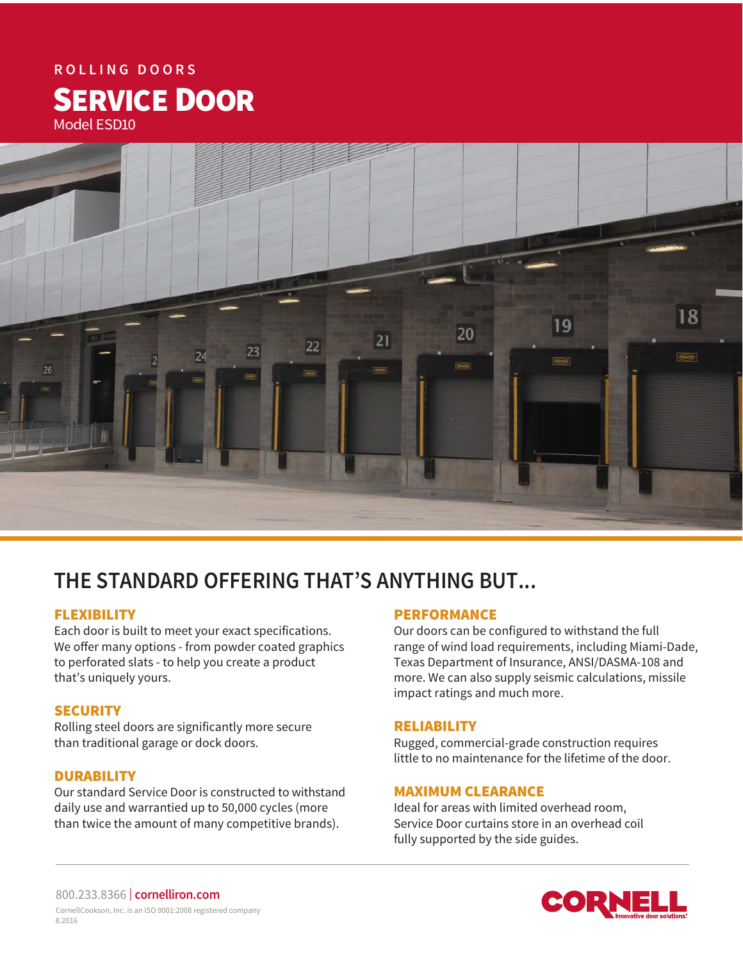# **ROLLING DOORS** SERVICE DOOR Model ESD10



# **THE STANDARD OFFERING THAT'S ANYTHING BUT...**

# FLEXIBILITY

Each door is built to meet your exact specifications. We offer many options - from powder coated graphics to perforated slats - to help you create a product that's uniquely yours.

# **SECURITY**

Rolling steel doors are significantly more secure than traditional garage or dock doors.

# **DURABILITY**

Our standard Service Door is constructed to withstand daily use and warrantied up to 50,000 cycles (more than twice the amount of many competitive brands).

#### PERFORMANCE

Our doors can be configured to withstand the full range of wind load requirements, including Miami-Dade, Texas Department of Insurance, ANSI/DASMA-108 and more. We can also supply seismic calculations, missile impact ratings and much more.

#### RELIABILITY

Rugged, commercial-grade construction requires little to no maintenance for the lifetime of the door.

#### MAXIMUM CLEARANCE

Ideal for areas with limited overhead room, Service Door curtains store in an overhead coil fully supported by the side guides.